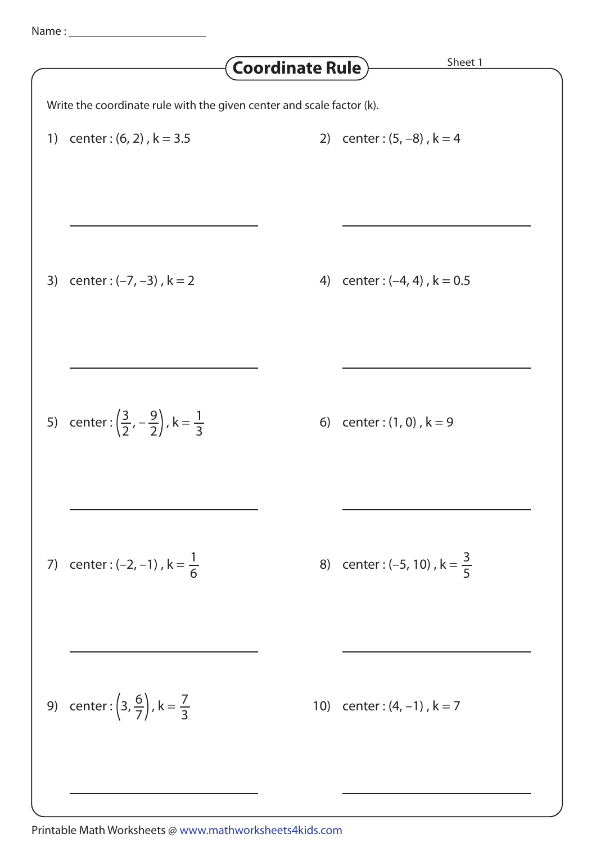## Write the coordinate rule with the given center and scale factor (k). **Coordinate Rule** Sheet 1 1) center :  $(6, 2)$ ,  $k = 3.5$  2) center :  $(5, -8)$ ,  $k = 4$ 3) center :  $(-7, -3)$ ,  $k = 2$ 5) center:  $\left(\frac{3}{2}, -\frac{9}{2}\right)$ ,  $k = \frac{1}{2}$  6) center: (1, 0),  $k = 9$ 7) center :  $(-2, -1)$ ,  $k = \frac{1}{6}$  8) center :  $(-5, 10)$ ,  $k = \frac{3}{6}$ 9) center:  $\left(3, \frac{6}{7}\right)$ , k =  $\frac{7}{2}$  (10) center : (4, -1), k = 7 4) center :  $(-4, 4)$ ,  $k = 0.5$ 1 6 5 3 3  $\frac{3}{2}$ , – 2 9 2  $3, \frac{6}{7}$ 7

## Printable Math Worksheets @ www.mathworksheets4kids.com